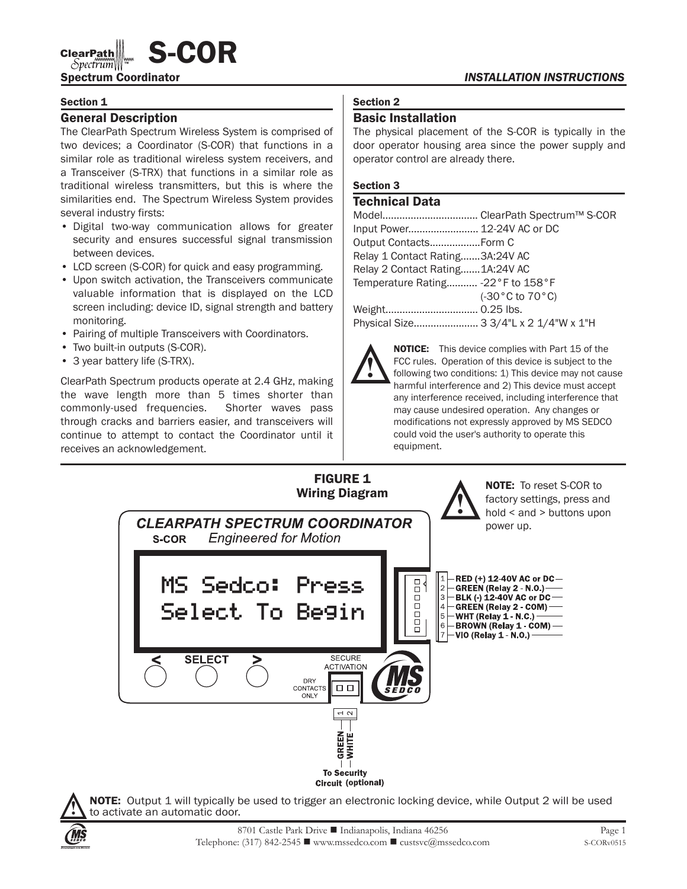# $\text{ClearPath} \llbracket \text{S-COR} \right.$

### Section 1

# General Description

The ClearPath Spectrum Wireless System is comprised of two devices; a Coordinator (S-COR) that functions in a similar role as traditional wireless system receivers, and a Transceiver (S-TRX) that functions in a similar role as traditional wireless transmitters, but this is where the similarities end. The Spectrum Wireless System provides several industry firsts:

- Digital two-way communication allows for greater security and ensures successful signal transmission between devices.
- LCD screen (S-COR) for quick and easy programming.
- Upon switch activation, the Transceivers communicate valuable information that is displayed on the LCD screen including: device ID, signal strength and battery monitoring.
- Pairing of multiple Transceivers with Coordinators.
- Two built-in outputs (S-COR).
- 3 year battery life (S-TRX).

ClearPath Spectrum products operate at 2.4 GHz, making the wave length more than 5 times shorter than commonly-used frequencies. Shorter waves pass through cracks and barriers easier, and transceivers will continue to attempt to contact the Coordinator until it receives an acknowledgement.

# Section 2

# Basic Installation

The physical placement of the S-COR is typically in the door operator housing area since the power supply and operator control are already there.

# Section 3

## Technical Data

| Input Power 12-24V AC or DC       |                                          |
|-----------------------------------|------------------------------------------|
|                                   |                                          |
| Relay 1 Contact Rating3A:24V AC   |                                          |
| Relay 2 Contact Rating1A:24V AC   |                                          |
| Temperature Rating -22°F to 158°F |                                          |
|                                   | $(-30\degree C \text{ to } 70\degree C)$ |
|                                   |                                          |
|                                   |                                          |



**NOTICE:** This device complies with Part 15 of the FCC rules. Operation of this device is subject to the following two conditions: 1) This device may not cause harmful interference and 2) This device must accept any interference received, including interference that may cause undesired operation. Any changes or modifications not expressly approved by MS SEDCO could void the user's authority to operate this equipment.



**!** NOTE: Output 1 will typically be used to trigger an electronic locking device, while Output 2 will be used to activate an automatic door.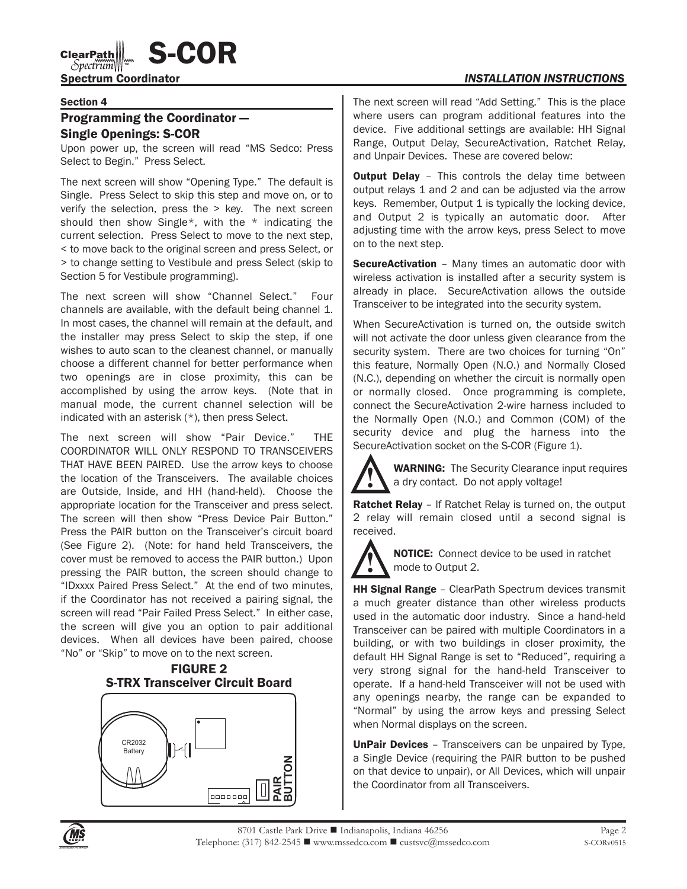# $\text{Clearpm}{\text{Diff}}$   $\text{S-COR}$

# Spectrum Coordinator *INSTALLATION INSTRUCTIONS*

#### Section 4

# Programming the Coordinator — Single Openings: S-COR

Upon power up, the screen will read "MS Sedco: Press Select to Begin." Press Select.

The next screen will show "Opening Type." The default is Single. Press Select to skip this step and move on, or to verify the selection, press the > key. The next screen should then show Single\*, with the \* indicating the current selection. Press Select to move to the next step, < to move back to the original screen and press Select, or > to change setting to Vestibule and press Select (skip to Section 5 for Vestibule programming).

The next screen will show "Channel Select." Four channels are available, with the default being channel 1. In most cases, the channel will remain at the default, and the installer may press Select to skip the step, if one wishes to auto scan to the cleanest channel, or manually choose a different channel for better performance when two openings are in close proximity, this can be accomplished by using the arrow keys. (Note that in manual mode, the current channel selection will be indicated with an asterisk (\*), then press Select.

The next screen will show "Pair Device." THE COORDINATOR WILL ONLY RESPOND TO TRANSCEIVERS THAT HAVE BEEN PAIRED. Use the arrow keys to choose the location of the Transceivers. The available choices are Outside, Inside, and HH (hand-held). Choose the appropriate location for the Transceiver and press select. The screen will then show "Press Device Pair Button." Press the PAIR button on the Transceiver's circuit board (See Figure 2). (Note: for hand held Transceivers, the cover must be removed to access the PAIR button.) Upon pressing the PAIR button, the screen should change to "IDxxxx Paired Press Select." At the end of two minutes, if the Coordinator has not received a pairing signal, the screen will read "Pair Failed Press Select." In either case, the screen will give you an option to pair additional devices. When all devices have been paired, choose "No" or "Skip" to move on to the next screen.





The next screen will read "Add Setting." This is the place where users can program additional features into the device. Five additional settings are available: HH Signal Range, Output Delay, SecureActivation, Ratchet Relay, and Unpair Devices. These are covered below:

**Output Delay** - This controls the delay time between output relays 1 and 2 and can be adjusted via the arrow keys. Remember, Output 1 is typically the locking device, and Output 2 is typically an automatic door. After adjusting time with the arrow keys, press Select to move on to the next step.

**SecureActivation** - Many times an automatic door with wireless activation is installed after a security system is already in place. SecureActivation allows the outside Transceiver to be integrated into the security system.

When SecureActivation is turned on, the outside switch will not activate the door unless given clearance from the security system. There are two choices for turning "On" this feature, Normally Open (N.O.) and Normally Closed (N.C.), depending on whether the circuit is normally open or normally closed. Once programming is complete, connect the SecureActivation 2-wire harness included to the Normally Open (N.O.) and Common (COM) of the security device and plug the harness into the SecureActivation socket on the S-COR (Figure 1).



WARNING: The Security Clearance input requires a dry contact. Do not apply voltage!

Ratchet Relay – If Ratchet Relay is turned on, the output 2 relay will remain closed until a second signal is received.



**NOTICE:** Connect device to be used in ratchet mode to Output 2.

**HH Signal Range** - ClearPath Spectrum devices transmit a much greater distance than other wireless products used in the automatic door industry. Since a hand-held Transceiver can be paired with multiple Coordinators in a building, or with two buildings in closer proximity, the default HH Signal Range is set to "Reduced", requiring a very strong signal for the hand-held Transceiver to operate. If a hand-held Transceiver will not be used with any openings nearby, the range can be expanded to "Normal" by using the arrow keys and pressing Select when Normal displays on the screen.

UnPair Devices – Transceivers can be unpaired by Type, a Single Device (requiring the PAIR button to be pushed on that device to unpair), or All Devices, which will unpair the Coordinator from all Transceivers.

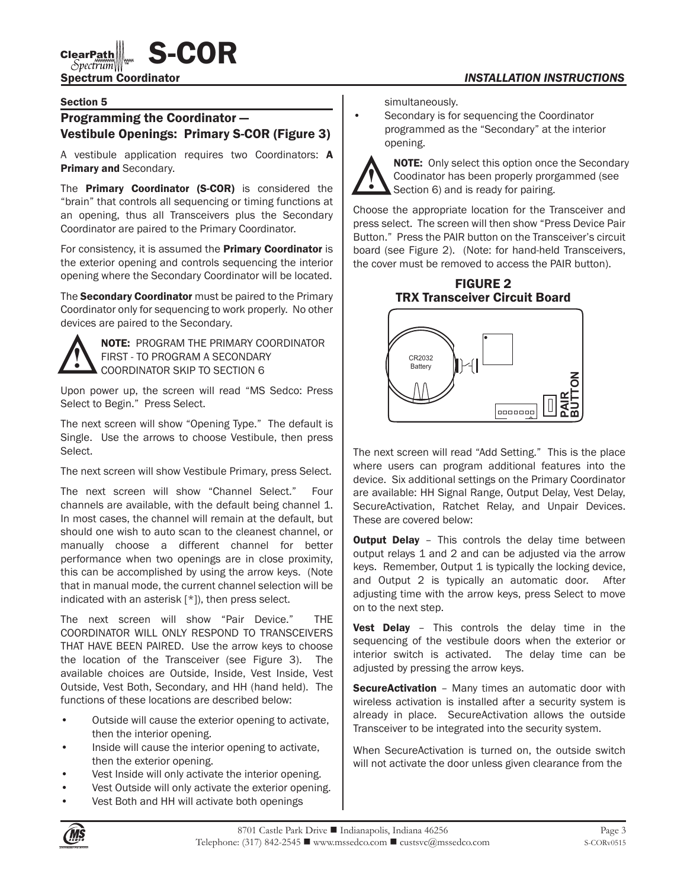$\text{Clearpm}{\text{Stiff}}$   $\text{S-COR}$ 

## Spectrum Coordinator *INSTALLATION INSTRUCTIONS*

#### Section 5

# Programming the Coordinator — Vestibule Openings: Primary S-COR (Figure 3)

A vestibule application requires two Coordinators: A Primary and Secondary.

The **Primary Coordinator (S-COR)** is considered the "brain" that controls all sequencing or timing functions at an opening, thus all Transceivers plus the Secondary Coordinator are paired to the Primary Coordinator.

For consistency, it is assumed the **Primary Coordinator** is the exterior opening and controls sequencing the interior opening where the Secondary Coordinator will be located.

The Secondary Coordinator must be paired to the Primary Coordinator only for sequencing to work properly. No other devices are paired to the Secondary.



NOTE: PROGRAM THE PRIMARY COORDINATOR FIRST - TO PROGRAM A SECONDARY COORDINATOR SKIP TO SECTION 6

Upon power up, the screen will read "MS Sedco: Press Select to Begin." Press Select.

The next screen will show "Opening Type." The default is Single. Use the arrows to choose Vestibule, then press Select.

The next screen will show Vestibule Primary, press Select.

The next screen will show "Channel Select." Four channels are available, with the default being channel 1. In most cases, the channel will remain at the default, but should one wish to auto scan to the cleanest channel, or manually choose a different channel for better performance when two openings are in close proximity, this can be accomplished by using the arrow keys. (Note that in manual mode, the current channel selection will be indicated with an asterisk [\*]), then press select.

The next screen will show "Pair Device." THE COORDINATOR WILL ONLY RESPOND TO TRANSCEIVERS THAT HAVE BEEN PAIRED. Use the arrow keys to choose the location of the Transceiver (see Figure 3). The available choices are Outside, Inside, Vest Inside, Vest Outside, Vest Both, Secondary, and HH (hand held). The functions of these locations are described below:

- Outside will cause the exterior opening to activate, then the interior opening.
- Inside will cause the interior opening to activate, then the exterior opening.
- Vest Inside will only activate the interior opening.
- Vest Outside will only activate the exterior opening.
- Vest Both and HH will activate both openings

simultaneously.

Secondary is for sequencing the Coordinator programmed as the "Secondary" at the interior opening.



**NOTE:** Only select this option once the Secondary Coodinator has been properly prorgammed (see Section 6) and is ready for pairing.

Choose the appropriate location for the Transceiver and press select. The screen will then show "Press Device Pair Button." Press the PAIR button on the Transceiver's circuit board (see Figure 2). (Note: for hand-held Transceivers, the cover must be removed to access the PAIR button).

FIGURE 2 TRX Transceiver Circuit Board



The next screen will read "Add Setting." This is the place where users can program additional features into the device. Six additional settings on the Primary Coordinator are available: HH Signal Range, Output Delay, Vest Delay, SecureActivation, Ratchet Relay, and Unpair Devices. These are covered below:

**Output Delay** - This controls the delay time between output relays 1 and 2 and can be adjusted via the arrow keys. Remember, Output 1 is typically the locking device, and Output 2 is typically an automatic door. After adjusting time with the arrow keys, press Select to move on to the next step.

Vest Delay - This controls the delay time in the sequencing of the vestibule doors when the exterior or interior switch is activated. The delay time can be adjusted by pressing the arrow keys.

**SecureActivation** – Many times an automatic door with wireless activation is installed after a security system is already in place. SecureActivation allows the outside Transceiver to be integrated into the security system.

When SecureActivation is turned on, the outside switch will not activate the door unless given clearance from the

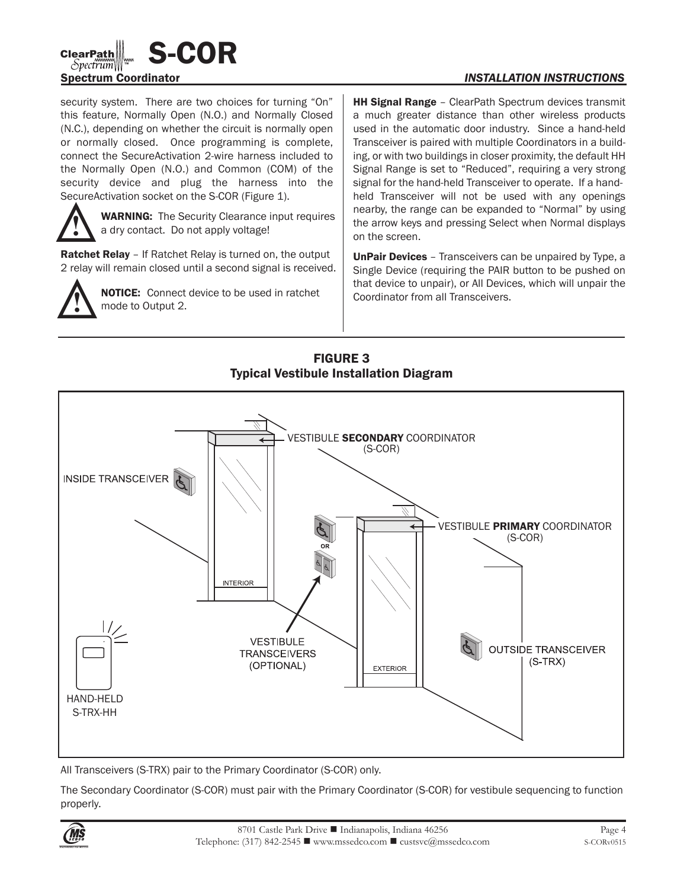

security system. There are two choices for turning "On" this feature, Normally Open (N.O.) and Normally Closed (N.C.), depending on whether the circuit is normally open or normally closed. Once programming is complete, connect the SecureActivation 2-wire harness included to the Normally Open (N.O.) and Common (COM) of the security device and plug the harness into the SecureActivation socket on the S-COR (Figure 1).



WARNING: The Security Clearance input requires a dry contact. Do not apply voltage!

**Ratchet Relay** – If Ratchet Relay is turned on, the output 2 relay will remain closed until a second signal is received.



**NOTICE:** Connect device to be used in ratchet mode to Output 2.

**HH Signal Range** - ClearPath Spectrum devices transmit a much greater distance than other wireless products used in the automatic door industry. Since a hand-held Transceiver is paired with multiple Coordinators in a building, or with two buildings in closer proximity, the default HH Signal Range is set to "Reduced", requiring a very strong signal for the hand-held Transceiver to operate. If a handheld Transceiver will not be used with any openings nearby, the range can be expanded to "Normal" by using the arrow keys and pressing Select when Normal displays on the screen.

UnPair Devices - Transceivers can be unpaired by Type, a Single Device (requiring the PAIR button to be pushed on that device to unpair), or All Devices, which will unpair the Coordinator from all Transceivers.



FIGURE 3 Typical Vestibule Installation Diagram

All Transceivers (S-TRX) pair to the Primary Coordinator (S-COR) only.

The Secondary Coordinator (S-COR) must pair with the Primary Coordinator (S-COR) for vestibule sequencing to function properly.